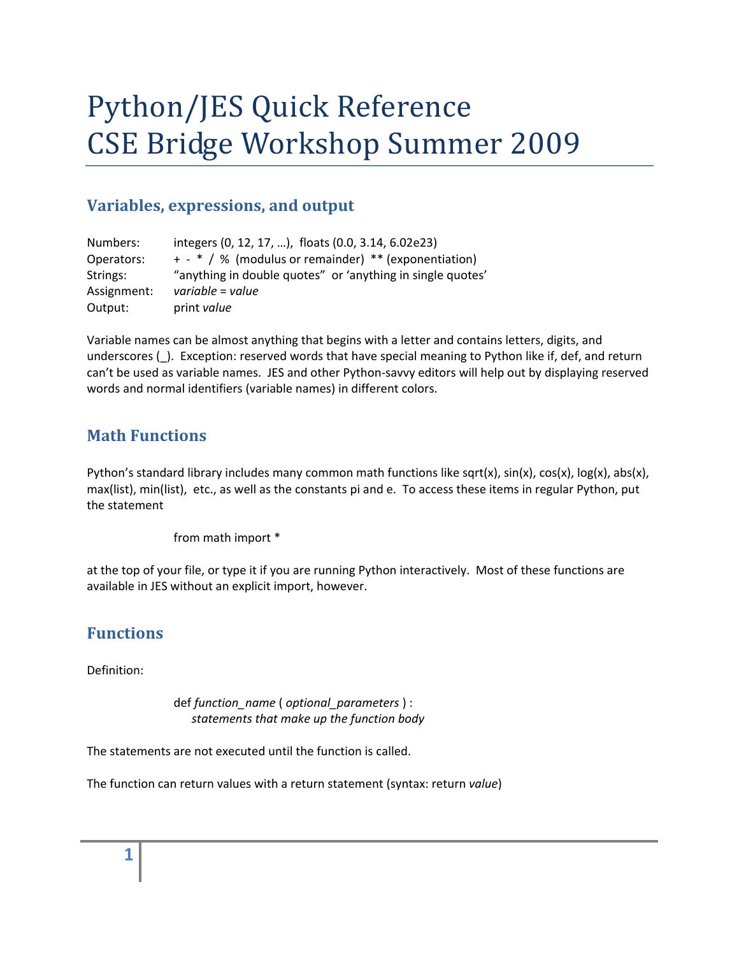# Python/JES Quick Reference CSE Bridge Workshop Summer 2009

## **Variables, expressions, and output**

| Numbers:    | integers (0, 12, 17, ), floats (0.0, 3.14, 6.02e23)        |
|-------------|------------------------------------------------------------|
| Operators:  | + - * / % (modulus or remainder) ** (exponentiation)       |
| Strings:    | "anything in double quotes" or 'anything in single quotes' |
| Assignment: | variable = value                                           |
| Output:     | print value                                                |

Variable names can be almost anything that begins with a letter and contains letters, digits, and underscores (\_). Exception: reserved words that have special meaning to Python like if, def, and return can't be used as variable names. JES and other Python‐savvy editors will help out by displaying reserved words and normal identifiers (variable names) in different colors.

#### **Math Functions**

Python's standard library includes many common math functions like sqrt(x), sin(x), cos(x), log(x), abs(x), max(list), min(list), etc., as well as the constants pi and e. To access these items in regular Python, put the statement

from math import \*

at the top of your file, or type it if you are running Python interactively. Most of these functions are available in JES without an explicit import, however.

#### **Functions**

Definition:

 def *function\_name* ( *optional\_parameters* ) : *statements that make up the function body*

The statements are not executed until the function is called.

The function can return values with a return statement (syntax: return *value*)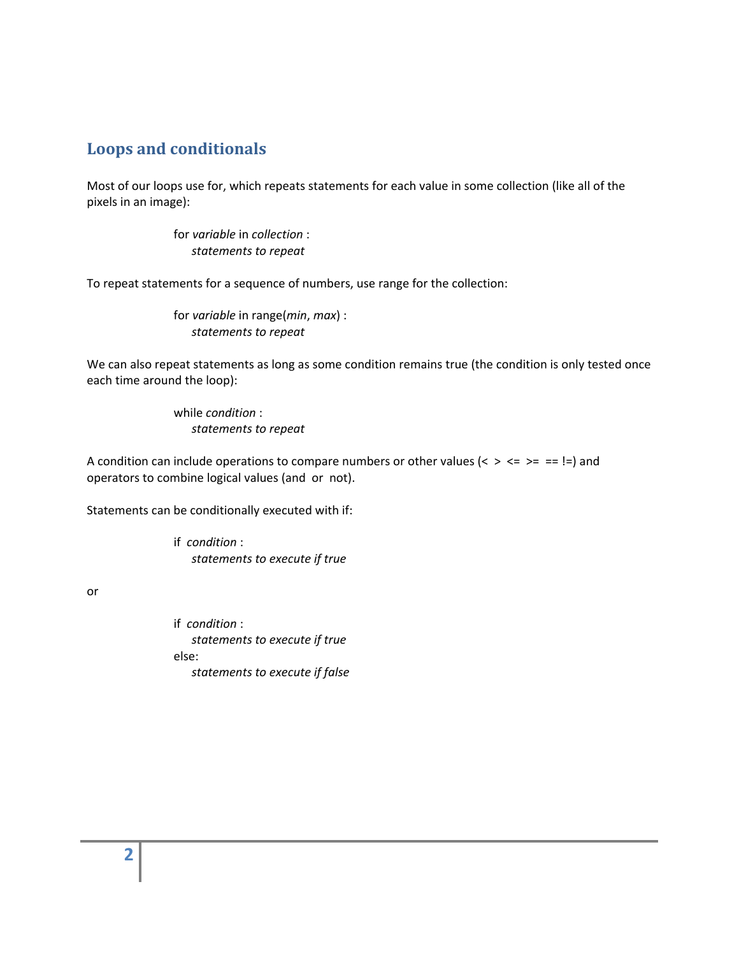#### **Loops and conditionals**

Most of our loops use for, which repeats statements for each value in some collection (like all of the pixels in an image):

> for *variable* in *collection* : *statements to repeat*

To repeat statements for a sequence of numbers, use range for the collection:

 for *variable* in range(*min*, *max*) : *statements to repeat*

We can also repeat statements as long as some condition remains true (the condition is only tested once each time around the loop):

> while *condition* : *statements to repeat*

A condition can include operations to compare numbers or other values ( $\lt$  >  $\lt$  = > = = !=) and operators to combine logical values (and or not).

Statements can be conditionally executed with if:

 if *condition* : *statements to execute if true*

or

 if *condition* : *statements to execute if true* else: *statements to execute if false*